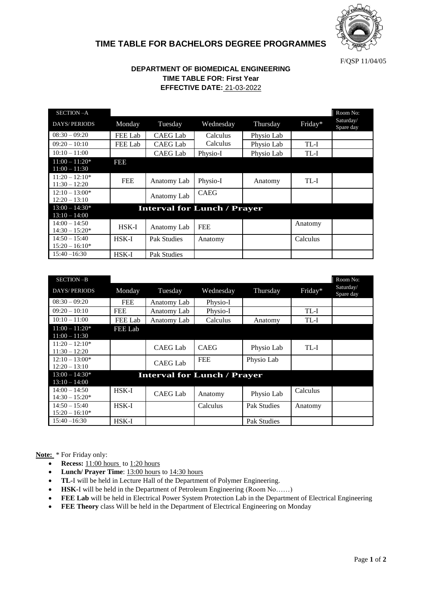

## **TIME TABLE FOR BACHELORS DEGREE PROGRAMMES**

F/QSP 11/04/05

## **DEPARTMENT OF BIOMEDICAL ENGINEERING TIME TABLE FOR: First Year EFFECTIVE DATE:** 21-03-2022

| SECTION-A                           |              |                    |                                    |            |          | Room No:               |
|-------------------------------------|--------------|--------------------|------------------------------------|------------|----------|------------------------|
| <b>DAYS/PERIODS</b>                 | Monday       | Tuesday            | Wednesday                          | Thursday   | Friday*  | Saturday/<br>Spare day |
| $08:30 - 09:20$                     | FEE Lab      | CAEG Lab           | Calculus                           | Physio Lab |          |                        |
| $09:20 - 10:10$                     | FEE Lab      | <b>CAEG Lab</b>    | Calculus                           | Physio Lab | TL-I     |                        |
| $10:10 - 11:00$                     |              | <b>CAEG Lab</b>    | Physio-I                           | Physio Lab | TL-I     |                        |
| $11:00 - 11:20*$<br>$11:00 - 11:30$ | FBB          |                    |                                    |            |          |                        |
| $11:20 - 12:10*$<br>$11:30 - 12:20$ | <b>FEE</b>   | Anatomy Lab        | Physio-I                           | Anatomy    | TL-I     |                        |
| $12:10 - 13:00*$<br>$12:20 - 13:10$ |              | Anatomy Lab        | <b>CAEG</b>                        |            |          |                        |
| $13:00 - 14:30*$<br>$13:10 - 14:00$ |              |                    | <b>Interval for Lunch / Prayer</b> |            |          |                        |
| $14:00 - 14:50$<br>$14:30 - 15:20*$ | <b>HSK-I</b> | Anatomy Lab        | <b>FEE</b>                         |            | Anatomy  |                        |
| $14:50 - 15:40$<br>$15:20 - 16:10*$ | $HSK-I$      | Pak Studies        | Anatomy                            |            | Calculus |                        |
| $15:40 - 16:30$                     | <b>HSK-I</b> | <b>Pak Studies</b> |                                    |            |          |                        |

| SECTION-B           |                |                                    |             |                    |          | Room No:               |
|---------------------|----------------|------------------------------------|-------------|--------------------|----------|------------------------|
| <b>DAYS/PERIODS</b> | Monday         | Tuesday                            | Wednesday   | Thursday           | Friday*  | Saturday/<br>Spare day |
| $08:30 - 09:20$     | <b>FEE</b>     | Anatomy Lab                        | Physio-I    |                    |          |                        |
| $09:20 - 10:10$     | <b>FEE</b>     | Anatomy Lab                        | Physio-I    |                    | TL-I     |                        |
| $10:10-11:00$       | <b>FEE Lab</b> | Anatomy Lab                        | Calculus    | Anatomy            | TL-I     |                        |
| $11:00 - 11:20*$    | <b>FEE Lab</b> |                                    |             |                    |          |                        |
| $11:00 - 11:30$     |                |                                    |             |                    |          |                        |
| $11:20 - 12:10*$    |                | <b>CAEG Lab</b>                    | <b>CAEG</b> | Physio Lab         | TL-I     |                        |
| $11:30 - 12:20$     |                |                                    |             |                    |          |                        |
| $12:10 - 13:00*$    |                | <b>CAEG Lab</b>                    | <b>FEE</b>  | Physio Lab         |          |                        |
| $12:20 - 13:10$     |                |                                    |             |                    |          |                        |
| $13:00 - 14:30*$    |                | <b>Interval for Lunch / Prayer</b> |             |                    |          |                        |
| $13:10 - 14:00$     |                |                                    |             |                    |          |                        |
| $14:00 - 14:50$     | <b>HSK-I</b>   | <b>CAEG Lab</b>                    |             |                    | Calculus |                        |
| $14:30 - 15:20*$    |                |                                    | Anatomy     | Physio Lab         |          |                        |
| $14:50 - 15:40$     | $HSK-I$        |                                    | Calculus    | <b>Pak Studies</b> | Anatomy  |                        |
| $15:20 - 16:10*$    |                |                                    |             |                    |          |                        |
| $15:40 - 16:30$     | $HSK-I$        |                                    |             | <b>Pak Studies</b> |          |                        |

**Note:** \* For Friday only:

- **Recess:** 11:00 hours to 1:20 hours
- **Lunch/ Prayer Time**: 13:00 hours to 14:30 hours
- **TL-**I will be held in Lecture Hall of the Department of Polymer Engineering.
- **HSK-**I will be held in the Department of Petroleum Engineering (Room No……)
- **FEE Lab** will be held in Electrical Power System Protection Lab in the Department of Electrical Engineering
- **FEE Theory** class Will be held in the Department of Electrical Engineering on Monday